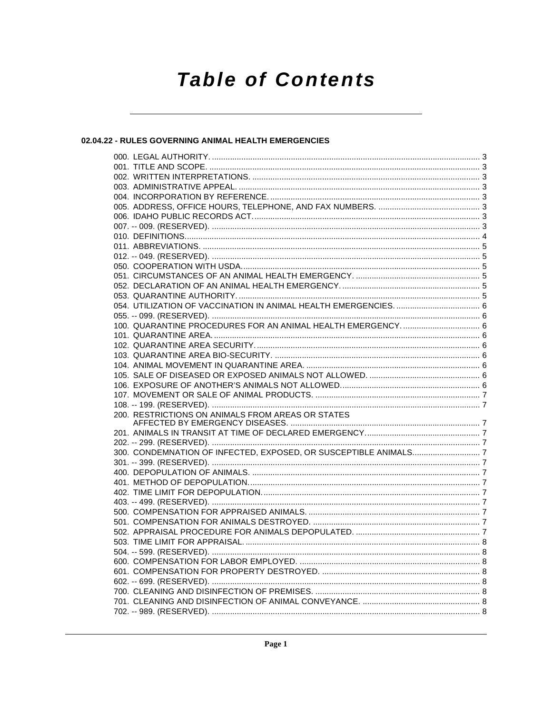# **Table of Contents**

# 02.04.22 - RULES GOVERNING ANIMAL HEALTH EMERGENCIES

|  | 100. QUARANTINE PROCEDURES FOR AN ANIMAL HEALTH EMERGENCY 6 |  |
|--|-------------------------------------------------------------|--|
|  |                                                             |  |
|  |                                                             |  |
|  |                                                             |  |
|  |                                                             |  |
|  |                                                             |  |
|  |                                                             |  |
|  |                                                             |  |
|  |                                                             |  |
|  |                                                             |  |
|  |                                                             |  |
|  |                                                             |  |
|  |                                                             |  |
|  |                                                             |  |
|  |                                                             |  |
|  |                                                             |  |
|  |                                                             |  |
|  |                                                             |  |
|  |                                                             |  |
|  |                                                             |  |
|  |                                                             |  |
|  |                                                             |  |
|  |                                                             |  |
|  |                                                             |  |
|  |                                                             |  |
|  |                                                             |  |
|  |                                                             |  |
|  |                                                             |  |
|  |                                                             |  |
|  |                                                             |  |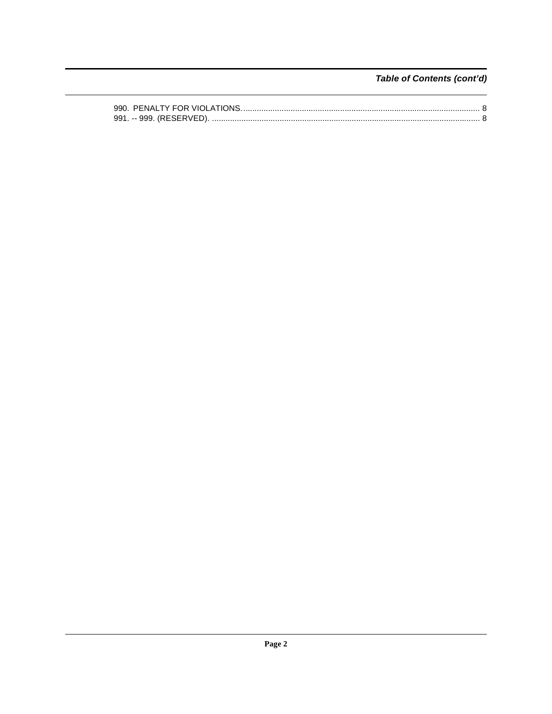Table of Contents (cont'd)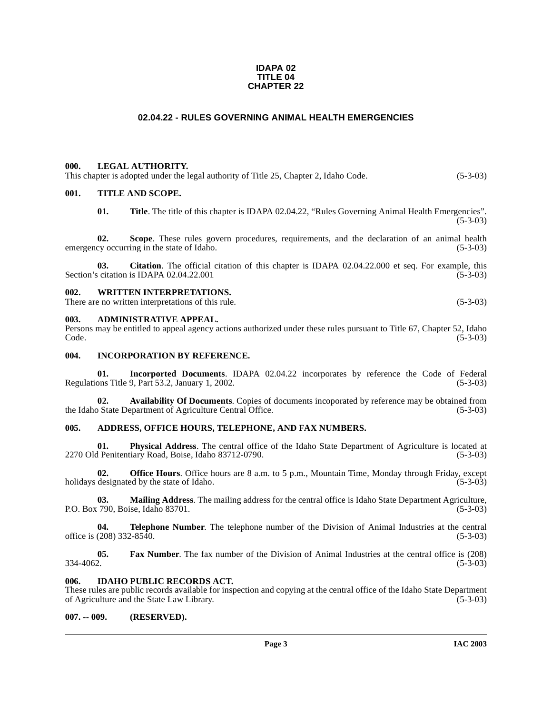#### **IDAPA 02 TITLE 04 CHAPTER 22**

# **02.04.22 - RULES GOVERNING ANIMAL HEALTH EMERGENCIES**

#### <span id="page-2-1"></span><span id="page-2-0"></span>**000. LEGAL AUTHORITY.**

This chapter is adopted under the legal authority of Title 25, Chapter 2, Idaho Code. (5-3-03)

#### <span id="page-2-2"></span>**001. TITLE AND SCOPE.**

**01.** Title. The title of this chapter is IDAPA 02.04.22, "Rules Governing Animal Health Emergencies".  $(5-3-03)$ 

**02.** Scope. These rules govern procedures, requirements, and the declaration of an animal health cy occurring in the state of Idaho. (5-3-03) emergency occurring in the state of Idaho.

**03. Citation**. The official citation of this chapter is IDAPA 02.04.22.000 et seq. For example, this Section's citation is IDAPA  $02.04.22.001$  (5-3-03)

#### <span id="page-2-3"></span>**002. WRITTEN INTERPRETATIONS.**

There are no written interpretations of this rule. (5-3-03)

#### <span id="page-2-4"></span>**003. ADMINISTRATIVE APPEAL.**

Persons may be entitled to appeal agency actions authorized under these rules pursuant to Title 67, Chapter 52, Idaho  $\text{Code.}$  (5-3-03)

#### <span id="page-2-5"></span>**004. INCORPORATION BY REFERENCE.**

**01.** Incorported Documents. IDAPA 02.04.22 incorporates by reference the Code of Federal ons Title 9, Part 53.2, January 1, 2002. (5-3-03) Regulations Title 9, Part 53.2, January 1, 2002.

**02.** Availability Of Documents. Copies of documents incoporated by reference may be obtained from <br>
o State Department of Agriculture Central Office. (5-3-03) the Idaho State Department of Agriculture Central Office.

#### <span id="page-2-6"></span>**005. ADDRESS, OFFICE HOURS, TELEPHONE, AND FAX NUMBERS.**

**01.** Physical Address. The central office of the Idaho State Department of Agriculture is located at Penitentiary Road, Boise, Idaho 83712-0790. (5-3-03) 2270 Old Penitentiary Road, Boise, Idaho 83712-0790.

**02. Office Hours**. Office hours are 8 a.m. to 5 p.m., Mountain Time, Monday through Friday, except holidays designated by the state of Idaho. (5-3-03)

**03. Mailing Address**. The mailing address for the central office is Idaho State Department Agriculture, P.O. Box 790, Boise, Idaho 83701. (5-3-03)

**04. Telephone Number**. The telephone number of the Division of Animal Industries at the central (208) 332-8540. (5-3-03) office is  $(208)$  332-8540.

**05.** Fax Number. The fax number of the Division of Animal Industries at the central office is (208) 334-4062.  $334-4062.$  (5-3-03)

#### <span id="page-2-7"></span>**006. IDAHO PUBLIC RECORDS ACT.**

These rules are public records available for inspection and copying at the central office of the Idaho State Department of Agriculture and the State Law Library. (5-3-03) of Agriculture and the State Law Library.

#### <span id="page-2-8"></span>**007. -- 009. (RESERVED).**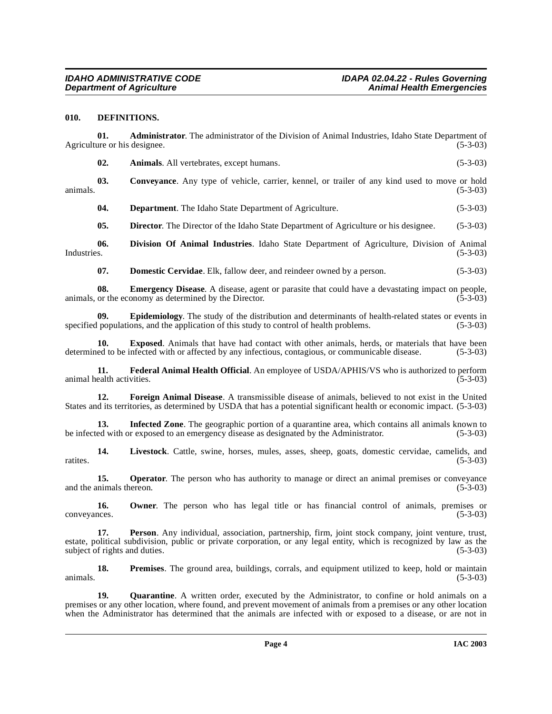## <span id="page-3-2"></span><span id="page-3-0"></span>**010. DEFINITIONS.**

**01. Administrator**. The administrator of the Division of Animal Industries, Idaho State Department of Agriculture or his designee. (5-3-03) **02. Animals**. All vertebrates, except humans. (5-3-03)

**03. Conveyance**. Any type of vehicle, carrier, kennel, or trailer of any kind used to move or hold animals.  $(5-3-03)$ 

<span id="page-3-1"></span>**04. Department**. The Idaho State Department of Agriculture. (5-3-03)

<span id="page-3-3"></span>**05. Director.** The Director of the Idaho State Department of Agriculture or his designee. (5-3-03)

**06. Division Of Animal Industries**. Idaho State Department of Agriculture, Division of Animal Industries. (5-3-03)

<span id="page-3-6"></span><span id="page-3-5"></span><span id="page-3-4"></span>**07. Domestic Cervidae**. Elk, fallow deer, and reindeer owned by a person. (5-3-03)

**08. Emergency Disease**. A disease, agent or parasite that could have a devastating impact on people, or the economy as determined by the Director. (5-3-03) animals, or the economy as determined by the Director.

**09. Epidemiology**. The study of the distribution and determinants of health-related states or events in specified populations, and the application of this study to control of health problems. (5-3-03)

**10. Exposed**. Animals that have had contact with other animals, herds, or materials that have been determined to be infected with or affected by any infectious, contagious, or communicable disease. (5-3-03)

<span id="page-3-7"></span>**11. Federal Animal Health Official**. An employee of USDA/APHIS/VS who is authorized to perform ealth activities. (5-3-03) animal health activities.

<span id="page-3-8"></span>**12. Foreign Animal Disease**. A transmissible disease of animals, believed to not exist in the United States and its territories, as determined by USDA that has a potential significant health or economic impact. (5-3-03)

<span id="page-3-9"></span>**13. Infected Zone**. The geographic portion of a quarantine area, which contains all animals known to be infected with or exposed to an emergency disease as designated by the Administrator. (5-3-03)

**14.** Livestock. Cattle, swine, horses, mules, asses, sheep, goats, domestic cervidae, camelids, and (5-3-03) ratites. (5-3-03)

**15. Operator**. The person who has authority to manage or direct an animal premises or conveyance and the animals thereon. (5-3-03) (5-3-03)

**16.** Owner. The person who has legal title or has financial control of animals, premises or (5-3-03) conveyances.

**17. Person**. Any individual, association, partnership, firm, joint stock company, joint venture, trust, estate, political subdivision, public or private corporation, or any legal entity, which is recognized by law as the subject of rights and duties. (5-3-03)

**18. Premises**. The ground area, buildings, corrals, and equipment utilized to keep, hold or maintain animals.  $(5-3-03)$ 

**19.** Quarantine. A written order, executed by the Administrator, to confine or hold animals on a premises or any other location, where found, and prevent movement of animals from a premises or any other location when the Administrator has determined that the animals are infected with or exposed to a disease, or are not in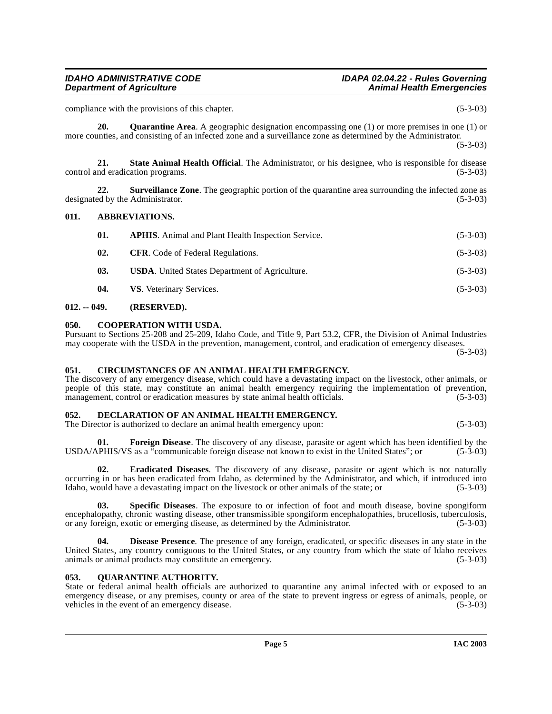compliance with the provisions of this chapter. (5-3-03)

<span id="page-4-13"></span>**20.** Quarantine Area. A geographic designation encompassing one (1) or more premises in one (1) or more counties, and consisting of an infected zone and a surveillance zone as determined by the Administrator.

(5-3-03)

<span id="page-4-16"></span>**21.** State Animal Health Official. The Administrator, or his designee, who is responsible for disease nd eradication programs. (5-3-03) control and eradication programs.

**22. Surveillance Zone**. The geographic portion of the quarantine area surrounding the infected zone as designated by the Administrator. (5-3-03)

# <span id="page-4-0"></span>**011. ABBREVIATIONS.**

<span id="page-4-17"></span><span id="page-4-6"></span>

| 01. | <b>APHIS.</b> Animal and Plant Health Inspection Service. | $(5-3-03)$ |
|-----|-----------------------------------------------------------|------------|
| 02. | <b>CFR.</b> Code of Federal Regulations.                  | $(5-3-03)$ |
| 03. | <b>USDA.</b> United States Department of Agriculture.     | $(5-3-03)$ |
| 04. | VS. Veterinary Services.                                  | $(5-3-03)$ |
|     |                                                           |            |

# <span id="page-4-1"></span>**012. -- 049. (RESERVED).**

# <span id="page-4-8"></span><span id="page-4-2"></span>**050. COOPERATION WITH USDA.**

Pursuant to Sections 25-208 and 25-209, Idaho Code, and Title 9, Part 53.2, CFR, the Division of Animal Industries may cooperate with the USDA in the prevention, management, control, and eradication of emergency diseases. (5-3-03)

# <span id="page-4-7"></span><span id="page-4-3"></span>**051. CIRCUMSTANCES OF AN ANIMAL HEALTH EMERGENCY.**

The discovery of any emergency disease, which could have a devastating impact on the livestock, other animals, or people of this state, may constitute an animal health emergency requiring the implementation of prevention, management, control or eradication measures by state animal health officials. (5-3-03) management, control or eradication measures by state animal health officials.

### <span id="page-4-9"></span><span id="page-4-4"></span>**052. DECLARATION OF AN ANIMAL HEALTH EMERGENCY.**

The Director is authorized to declare an animal health emergency upon: (5-3-03)

<span id="page-4-12"></span>**01. Foreign Disease**. The discovery of any disease, parasite or agent which has been identified by the USDA/APHIS/VS as a "communicable foreign disease not known to exist in the United States"; or (5-3-03)

<span id="page-4-11"></span>**02. Eradicated Diseases**. The discovery of any disease, parasite or agent which is not naturally occurring in or has been eradicated from Idaho, as determined by the Administrator, and which, if introduced into Idaho, would have a devastating impact on the livestock or other animals of the state; or (5-3-03)

<span id="page-4-15"></span>**03. Specific Diseases**. The exposure to or infection of foot and mouth disease, bovine spongiform encephalopathy, chronic wasting disease, other transmissible spongiform encephalopathies, brucellosis, tuberculosis, or any foreign, exotic or emerging disease, as determined by the Administrator. (5-3-03)

<span id="page-4-10"></span>**Disease Presence**. The presence of any foreign, eradicated, or specific diseases in any state in the United States, any country contiguous to the United States, or any country from which the state of Idaho receives animals or animal products may constitute an emergency. (5-3-03) animals or animal products may constitute an emergency.

# <span id="page-4-14"></span><span id="page-4-5"></span>**053. QUARANTINE AUTHORITY.**

State or federal animal health officials are authorized to quarantine any animal infected with or exposed to an emergency disease, or any premises, county or area of the state to prevent ingress or egress of animals, people, or vehicles in the event of an emergency disease. (5-3-03) vehicles in the event of an emergency disease.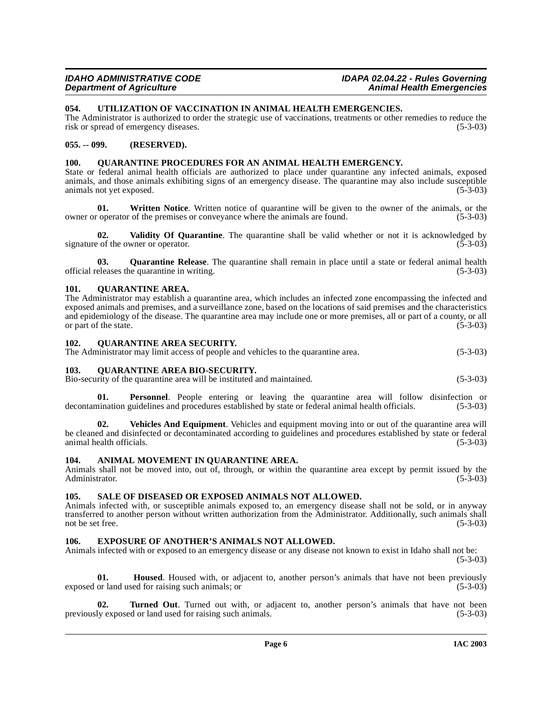# <span id="page-5-16"></span><span id="page-5-0"></span>**054. UTILIZATION OF VACCINATION IN ANIMAL HEALTH EMERGENCIES.**

The Administrator is authorized to order the strategic use of vaccinations, treatments or other remedies to reduce the risk or spread of emergency diseases. (5-3-03) risk or spread of emergency diseases.

### <span id="page-5-1"></span>**055. -- 099. (RESERVED).**

# <span id="page-5-14"></span><span id="page-5-2"></span>**100. QUARANTINE PROCEDURES FOR AN ANIMAL HEALTH EMERGENCY.**

State or federal animal health officials are authorized to place under quarantine any infected animals, exposed animals, and those animals exhibiting signs of an emergency disease. The quarantine may also include susceptible animals not yet exposed. (5-3-03)

**01.** Written Notice. Written notice of quarantine will be given to the owner of the animals, or the coperator of the premises or convevance where the animals are found. (5-3-03) owner or operator of the premises or conveyance where the animals are found.

**02.** Validity Of Quarantine. The quarantine shall be valid whether or not it is acknowledged by  $\circ$  of the owner or operator. (5-3-03) signature of the owner or operator.

**03. Quarantine Release**. The quarantine shall remain in place until a state or federal animal health official releases the quarantine in writing. (5-3-03)

### <span id="page-5-13"></span><span id="page-5-3"></span>**101. QUARANTINE AREA.**

The Administrator may establish a quarantine area, which includes an infected zone encompassing the infected and exposed animals and premises, and a surveillance zone, based on the locations of said premises and the characteristics and epidemiology of the disease. The quarantine area may include one or more premises, all or part of a county, or all or part of the state. (5-3-03)

#### <span id="page-5-12"></span><span id="page-5-4"></span>**102. QUARANTINE AREA SECURITY.**

|  |  | The Administrator may limit access of people and vehicles to the quarantine area. | $(5-3-03)$ |
|--|--|-----------------------------------------------------------------------------------|------------|
|--|--|-----------------------------------------------------------------------------------|------------|

#### <span id="page-5-11"></span><span id="page-5-5"></span>**103. QUARANTINE AREA BIO-SECURITY.**

Bio-security of the quarantine area will be instituted and maintained. (5-3-03)

**01. Personnel**. People entering or leaving the quarantine area will follow disinfection or decontamination guidelines and procedures established by state or federal animal health officials. (5-3-03)

**02. Vehicles And Equipment**. Vehicles and equipment moving into or out of the quarantine area will be cleaned and disinfected or decontaminated according to guidelines and procedures established by state or federal animal health officials. (5-3-03) animal health officials.

#### <span id="page-5-9"></span><span id="page-5-6"></span>**104. ANIMAL MOVEMENT IN QUARANTINE AREA.**

Animals shall not be moved into, out of, through, or within the quarantine area except by permit issued by the Administrator. (5-3-03) Administrator. (5-3-03)

#### <span id="page-5-15"></span><span id="page-5-7"></span>**105. SALE OF DISEASED OR EXPOSED ANIMALS NOT ALLOWED.**

Animals infected with, or susceptible animals exposed to, an emergency disease shall not be sold, or in anyway transferred to another person without written authorization from the Administrator. Additionally, such animals shall not be set free. (5-3-03)

### <span id="page-5-10"></span><span id="page-5-8"></span>**106. EXPOSURE OF ANOTHER'S ANIMALS NOT ALLOWED.**

Animals infected with or exposed to an emergency disease or any disease not known to exist in Idaho shall not be: (5-3-03)

**01. Housed**. Housed with, or adjacent to, another person's animals that have not been previously exposed or land used for raising such animals; or (5-3-03)

**02. Turned Out**. Turned out with, or adjacent to, another person's animals that have not been ly exposed or land used for raising such animals. (5-3-03) previously exposed or land used for raising such animals.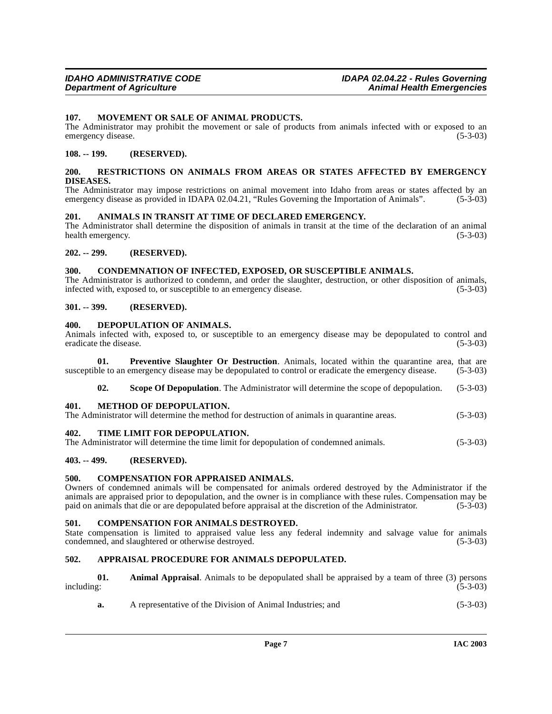#### <span id="page-6-21"></span><span id="page-6-0"></span>**107. MOVEMENT OR SALE OF ANIMAL PRODUCTS.**

The Administrator may prohibit the movement or sale of products from animals infected with or exposed to an emergency disease. (5-3-03)

#### <span id="page-6-1"></span>**108. -- 199. (RESERVED).**

#### <span id="page-6-23"></span><span id="page-6-2"></span>**200. RESTRICTIONS ON ANIMALS FROM AREAS OR STATES AFFECTED BY EMERGENCY DISEASES.**

The Administrator may impose restrictions on animal movement into Idaho from areas or states affected by an emergency disease as provided in IDAPA 02.04.21, "Rules Governing the Importation of Animals". (5-3-03)

#### <span id="page-6-14"></span><span id="page-6-3"></span>**201. ANIMALS IN TRANSIT AT TIME OF DECLARED EMERGENCY.**

The Administrator shall determine the disposition of animals in transit at the time of the declaration of an animal health emergency. (5-3-03)

# <span id="page-6-4"></span>**202. -- 299. (RESERVED).**

#### <span id="page-6-18"></span><span id="page-6-5"></span>**300. CONDEMNATION OF INFECTED, EXPOSED, OR SUSCEPTIBLE ANIMALS.**

The Administrator is authorized to condemn, and order the slaughter, destruction, or other disposition of animals, infected with, exposed to, or susceptible to an emergency disease. (5-3-03)

#### <span id="page-6-6"></span>**301. -- 399. (RESERVED).**

#### <span id="page-6-19"></span><span id="page-6-7"></span>**400. DEPOPULATION OF ANIMALS.**

Animals infected with, exposed to, or susceptible to an emergency disease may be depopulated to control and eradicate the disease. (5-3-03) eradicate the disease.

**01. Preventive Slaughter Or Destruction**. Animals, located within the quarantine area, that are susceptible to an emergency disease may be depopulated to control or eradicate the emergency disease. (5-3-03)

<span id="page-6-24"></span><span id="page-6-22"></span><span id="page-6-20"></span>**02.** Scope Of Depopulation. The Administrator will determine the scope of depopulation. (5-3-03)

#### <span id="page-6-8"></span>**401. METHOD OF DEPOPULATION.**

The Administrator will determine the method for destruction of animals in quarantine areas. (5-3-03)

<span id="page-6-25"></span><span id="page-6-9"></span>**402. TIME LIMIT FOR DEPOPULATION.**

The Administrator will determine the time limit for depopulation of condemned animals. (5-3-03)

# <span id="page-6-10"></span>**403. -- 499. (RESERVED).**

#### <span id="page-6-17"></span><span id="page-6-11"></span>**500. COMPENSATION FOR APPRAISED ANIMALS.**

Owners of condemned animals will be compensated for animals ordered destroyed by the Administrator if the animals are appraised prior to depopulation, and the owner is in compliance with these rules. Compensation may be paid on animals that die or are depopulated before appraisal at the discretion of the Administrator. (5-3-03 paid on animals that die or are depopulated before appraisal at the discretion of the Administrator.

#### <span id="page-6-16"></span><span id="page-6-12"></span>**501. COMPENSATION FOR ANIMALS DESTROYED.**

State compensation is limited to appraised value less any federal indemnity and salvage value for animals condemned, and slaughtered or otherwise destroyed. (5-3-03)

#### <span id="page-6-15"></span><span id="page-6-13"></span>**502. APPRAISAL PROCEDURE FOR ANIMALS DEPOPULATED.**

|            | <b>Animal Appraisal.</b> Animals to be depopulated shall be appraised by a team of three (3) persons |            |
|------------|------------------------------------------------------------------------------------------------------|------------|
| including: |                                                                                                      | $(5-3-03)$ |

**a.** A representative of the Division of Animal Industries; and (5-3-03)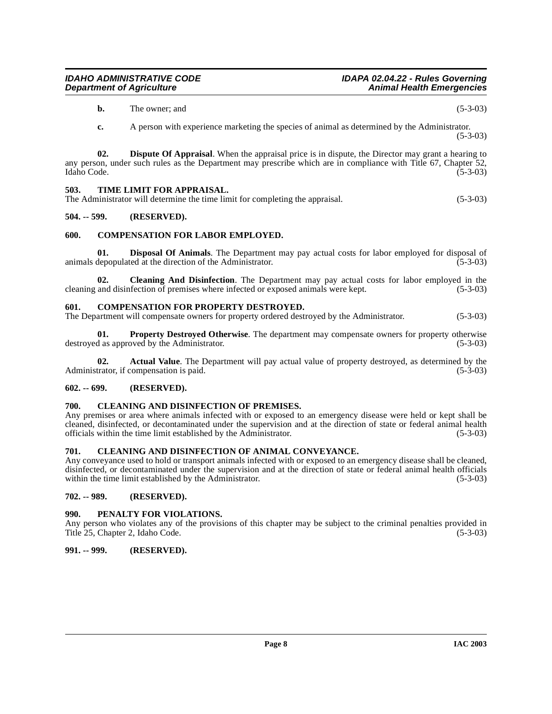**b.** The owner; and (5-3-03)

**c.** A person with experience marketing the species of animal as determined by the Administrator. (5-3-03)

**02. Dispute Of Appraisal**. When the appraisal price is in dispute, the Director may grant a hearing to any person, under such rules as the Department may prescribe which are in compliance with Title 67, Chapter 52, Idaho Code. (5-3-03)

### <span id="page-7-14"></span><span id="page-7-0"></span>**503. TIME LIMIT FOR APPRAISAL.**

The Administrator will determine the time limit for completing the appraisal. (5-3-03)

### <span id="page-7-1"></span>**504. -- 599. (RESERVED).**

### <span id="page-7-12"></span><span id="page-7-2"></span>**600. COMPENSATION FOR LABOR EMPLOYED.**

**01. Disposal Of Animals**. The Department may pay actual costs for labor employed for disposal of depopulated at the direction of the Administrator. (5-3-03) animals depopulated at the direction of the Administrator.

**02. Cleaning And Disinfection**. The Department may pay actual costs for labor employed in the cleaning and disinfection of premises where infected or exposed animals were kept. (5-3-03)

### <span id="page-7-13"></span><span id="page-7-3"></span>**601. COMPENSATION FOR PROPERTY DESTROYED.**

The Department will compensate owners for property ordered destroyed by the Administrator. (5-3-03)

**01. Property Destroyed Otherwise**. The department may compensate owners for property otherwise d as approved by the Administrator. (5-3-03) destroyed as approved by the Administrator.

**02. Actual Value**. The Department will pay actual value of property destroyed, as determined by the Administrator, if compensation is paid. (5-3-03)

#### <span id="page-7-4"></span>**602. -- 699. (RESERVED).**

### <span id="page-7-11"></span><span id="page-7-5"></span>**700. CLEANING AND DISINFECTION OF PREMISES.**

Any premises or area where animals infected with or exposed to an emergency disease were held or kept shall be cleaned, disinfected, or decontaminated under the supervision and at the direction of state or federal animal health officials within the time limit established by the Administrator. (5-3-03)

#### <span id="page-7-10"></span><span id="page-7-6"></span>**701. CLEANING AND DISINFECTION OF ANIMAL CONVEYANCE.**

Any conveyance used to hold or transport animals infected with or exposed to an emergency disease shall be cleaned, disinfected, or decontaminated under the supervision and at the direction of state or federal animal health officials within the time limit established by the Administrator. (5-3-03)

#### <span id="page-7-7"></span>**702. -- 989. (RESERVED).**

#### <span id="page-7-8"></span>**990. PENALTY FOR VIOLATIONS.**

Any person who violates any of the provisions of this chapter may be subject to the criminal penalties provided in Title 25, Chapter 2, Idaho Code. (5-3-03)

# <span id="page-7-9"></span>**991. -- 999. (RESERVED).**